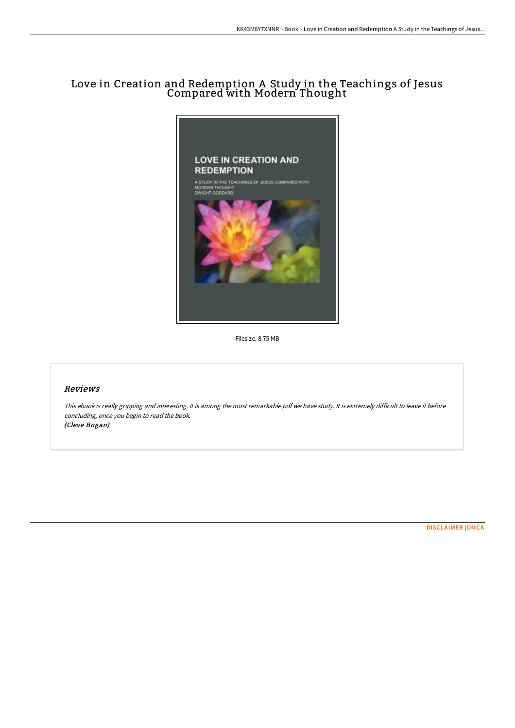# Love in Creation and Redemption A Study in the Teachings of Jesus Compared with Modern Thought



Filesize: 8.75 MB

## Reviews

This ebook is really gripping and interesting. It is among the most remarkable pdf we have study. It is extremely difficult to leave it before concluding, once you begin to read the book. (Cleve Bogan)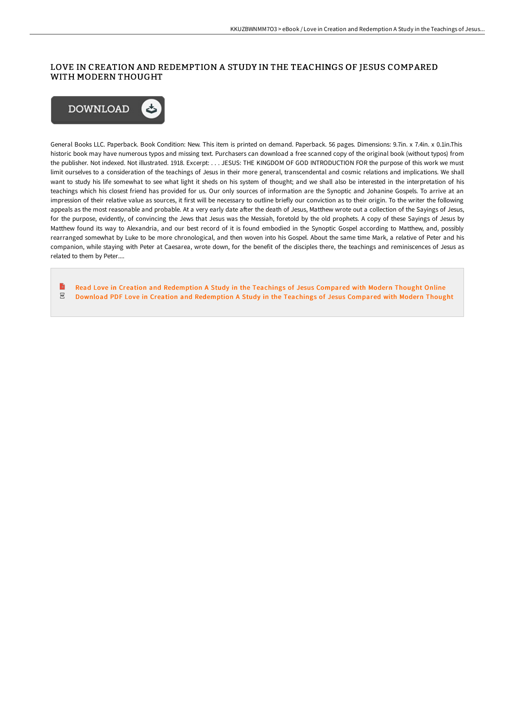## LOVE IN CREATION AND REDEMPTION A STUDY IN THE TEACHINGS OF JESUS COMPARED WITH MODERN THOUGHT



General Books LLC. Paperback. Book Condition: New. This item is printed on demand. Paperback. 56 pages. Dimensions: 9.7in. x 7.4in. x 0.1in.This historic book may have numerous typos and missing text. Purchasers can download a free scanned copy of the original book (without typos) from the publisher. Not indexed. Not illustrated. 1918. Excerpt: . . . JESUS: THE KINGDOM OF GOD INTRODUCTION FOR the purpose of this work we must limit ourselves to a consideration of the teachings of Jesus in their more general, transcendental and cosmic relations and implications. We shall want to study his life somewhat to see what light it sheds on his system of thought; and we shall also be interested in the interpretation of his teachings which his closest friend has provided for us. Our only sources of information are the Synoptic and Johanine Gospels. To arrive at an impression of their relative value as sources, it first will be necessary to outline briefly our conviction as to their origin. To the writer the following appeals as the most reasonable and probable. At a very early date after the death of Jesus, Matthew wrote out a collection of the Sayings of Jesus, for the purpose, evidently, of convincing the Jews that Jesus was the Messiah, foretold by the old prophets. A copy of these Sayings of Jesus by Matthew found its way to Alexandria, and our best record of it is found embodied in the Synoptic Gospel according to Matthew, and, possibly rearranged somewhat by Luke to be more chronological, and then woven into his Gospel. About the same time Mark, a relative of Peter and his companion, while staying with Peter at Caesarea, wrote down, for the benefit of the disciples there, the teachings and reminiscences of Jesus as related to them by Peter....

Read Love in Creation and [Redemption](http://techno-pub.tech/love-in-creation-and-redemption-a-study-in-the-t.html) A Study in the Teachings of Jesus Compared with Modern Thought Online  $_{\rm PDF}$ Download PDF Love in Creation and [Redemption](http://techno-pub.tech/love-in-creation-and-redemption-a-study-in-the-t.html) A Study in the Teachings of Jesus Compared with Modern Thought